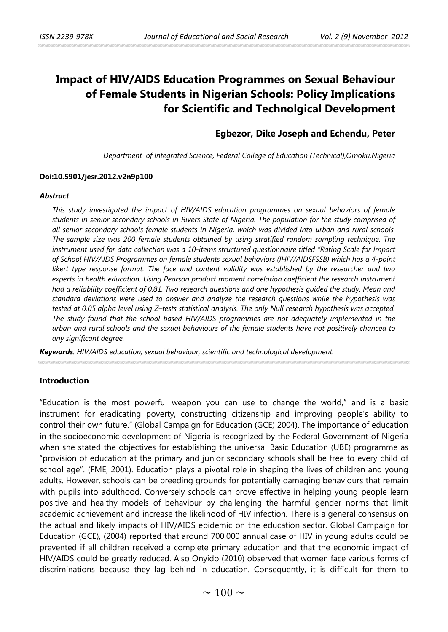# **Impact of HIV/AIDS Education Programmes on Sexual Behaviour of Female Students in Nigerian Schools: Policy Implications for Scientific and Technolgical Development**

## **Egbezor, Dike Joseph and Echendu, Peter**

*Department of Integrated Science, Federal College of Education (Technical),Omoku,Nigeria*

#### **Doi:10.5901/jesr.2012.v2n9p100**

#### *Abstract*

*This study investigated the impact of HIV/AIDS education programmes on sexual behaviors of female students in senior secondary schools in Rivers State of Nigeria. The population for the study comprised of all senior secondary schools female students in Nigeria, which was divided into urban and rural schools. The sample size was 200 female students obtained by using stratified random sampling technique. The instrument used for data collection was a 10-items structured questionnaire titled "Rating Scale for Impact of School HIV/AIDS Programmes on female students sexual behaviors (IHIV/AIDSFSSB) which has a 4-point likert type response format. The face and content validity was established by the researcher and two experts in health education. Using Pearson product moment correlation coefficient the research instrument had a reliability coefficient of 0.81. Two research questions and one hypothesis guided the study. Mean and standard deviations were used to answer and analyze the research questions while the hypothesis was*  tested at 0.05 alpha level using Z-tests statistical analysis. The only Null research hypothesis was accepted. *The study found that the school based HIV/AIDS programmes are not adequately implemented in the urban and rural schools and the sexual behaviours of the female students have not positively chanced to any significant degree.* 

*Keywords: HIV/AIDS education, sexual behaviour, scientific and technological development.*

#### **Introduction**

"Education is the most powerful weapon you can use to change the world," and is a basic instrument for eradicating poverty, constructing citizenship and improving people's ability to control their own future." (Global Campaign for Education (GCE) 2004). The importance of education in the socioeconomic development of Nigeria is recognized by the Federal Government of Nigeria when she stated the objectives for establishing the universal Basic Education (UBE) programme as "provision of education at the primary and junior secondary schools shall be free to every child of school age". (FME, 2001). Education plays a pivotal role in shaping the lives of children and young adults. However, schools can be breeding grounds for potentially damaging behaviours that remain with pupils into adulthood. Conversely schools can prove effective in helping young people learn positive and healthy models of behaviour by challenging the harmful gender norms that limit academic achievement and increase the likelihood of HIV infection. There is a general consensus on the actual and likely impacts of HIV/AIDS epidemic on the education sector. Global Campaign for Education (GCE), (2004) reported that around 700,000 annual case of HIV in young adults could be prevented if all children received a complete primary education and that the economic impact of HIV/AIDS could be greatly reduced. Also Onyido (2010) observed that women face various forms of discriminations because they lag behind in education. Consequently, it is difficult for them to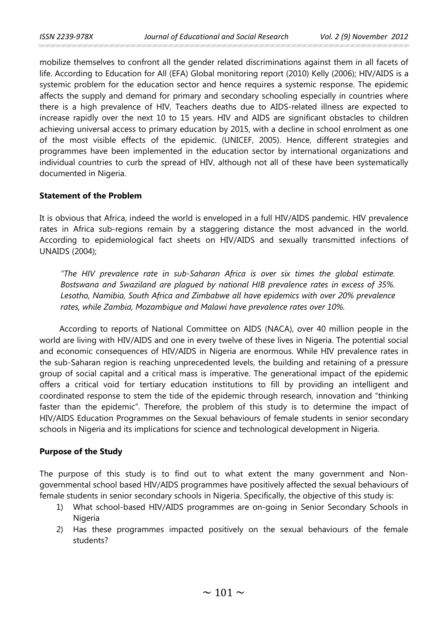mobilize themselves to confront all the gender related discriminations against them in all facets of life. According to Education for All (EFA) Global monitoring report (2010) Kelly (2006); HIV/AIDS is a systemic problem for the education sector and hence requires a systemic response. The epidemic affects the supply and demand for primary and secondary schooling especially in countries where there is a high prevalence of HIV, Teachers deaths due to AIDS-related illness are expected to increase rapidly over the next 10 to 15 years. HIV and AIDS are significant obstacles to children achieving universal access to primary education by 2015, with a decline in school enrolment as one of the most visible effects of the epidemic. (UNICEF, 2005). Hence, different strategies and programmes have been implemented in the education sector by international organizations and individual countries to curb the spread of HIV, although not all of these have been systematically documented in Nigeria.

## **Statement of the Problem**

It is obvious that Africa, indeed the world is enveloped in a full HIV/AIDS pandemic. HIV prevalence rates in Africa sub-regions remain by a staggering distance the most advanced in the world. According to epidemiological fact sheets on HIV/AIDS and sexually transmitted infections of UNAIDS (2004);

*"The HIV prevalence rate in sub-Saharan Africa is over six times the global estimate. Bostswana and Swaziland are plagued by national HIB prevalence rates in excess of 35%. Lesotho, Namibia, South Africa and Zimbabwe all have epidemics with over 20% prevalence rates, while Zambia, Mozambique and Malawi have prevalence rates over 10%.*

According to reports of National Committee on AIDS (NACA), over 40 million people in the world are living with HIV/AIDS and one in every twelve of these lives in Nigeria. The potential social and economic consequences of HIV/AIDS in Nigeria are enormous. While HIV prevalence rates in the sub-Saharan region is reaching unprecedented levels, the building and retaining of a pressure group of social capital and a critical mass is imperative. The generational impact of the epidemic offers a critical void for tertiary education institutions to fill by providing an intelligent and coordinated response to stem the tide of the epidemic through research, innovation and "thinking faster than the epidemic". Therefore, the problem of this study is to determine the impact of HIV/AIDS Education Programmes on the Sexual behaviours of female students in senior secondary schools in Nigeria and its implications for science and technological development in Nigeria.

## **Purpose of the Study**

The purpose of this study is to find out to what extent the many government and Nongovernmental school based HIV/AIDS programmes have positively affected the sexual behaviours of female students in senior secondary schools in Nigeria. Specifically, the objective of this study is:

- 1) What school-based HIV/AIDS programmes are on-going in Senior Secondary Schools in Nigeria
- 2) Has these programmes impacted positively on the sexual behaviours of the female students?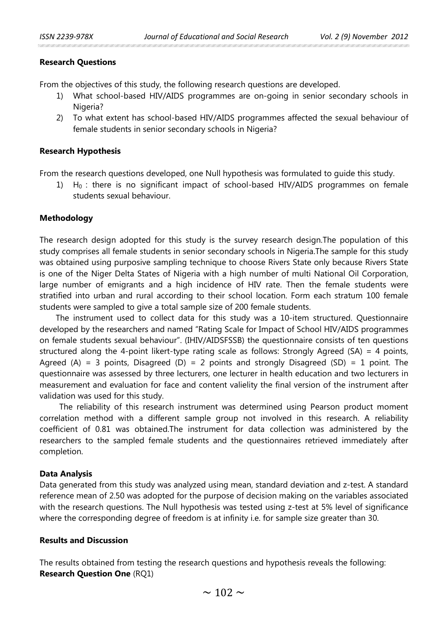## **Research Questions**

From the objectives of this study, the following research questions are developed.

- 1) What school-based HIV/AIDS programmes are on-going in senior secondary schools in Nigeria?
- 2) To what extent has school-based HIV/AIDS programmes affected the sexual behaviour of female students in senior secondary schools in Nigeria?

#### **Research Hypothesis**

From the research questions developed, one Null hypothesis was formulated to guide this study.

 $H_0$ : there is no significant impact of school-based HIV/AIDS programmes on female students sexual behaviour.

## **Methodology**

The research design adopted for this study is the survey research design.The population of this study comprises all female students in senior secondary schools in Nigeria.The sample for this study was obtained using purposive sampling technique to choose Rivers State only because Rivers State is one of the Niger Delta States of Nigeria with a high number of multi National Oil Corporation, large number of emigrants and a high incidence of HIV rate. Then the female students were stratified into urban and rural according to their school location. Form each stratum 100 female students were sampled to give a total sample size of 200 female students.

 The instrument used to collect data for this study was a 10-item structured. Questionnaire developed by the researchers and named "Rating Scale for Impact of School HIV/AIDS programmes on female students sexual behaviour". (IHIV/AIDSFSSB) the questionnaire consists of ten questions structured along the 4-point likert-type rating scale as follows: Strongly Agreed (SA) = 4 points, Agreed (A) = 3 points, Disagreed (D) = 2 points and strongly Disagreed (SD) = 1 point. The questionnaire was assessed by three lecturers, one lecturer in health education and two lecturers in measurement and evaluation for face and content valielity the final version of the instrument after validation was used for this study.

The reliability of this research instrument was determined using Pearson product moment correlation method with a different sample group not involved in this research. A reliability coefficient of 0.81 was obtained.The instrument for data collection was administered by the researchers to the sampled female students and the questionnaires retrieved immediately after completion.

#### **Data Analysis**

Data generated from this study was analyzed using mean, standard deviation and z-test. A standard reference mean of 2.50 was adopted for the purpose of decision making on the variables associated with the research questions. The Null hypothesis was tested using z-test at 5% level of significance where the corresponding degree of freedom is at infinity i.e. for sample size greater than 30.

## **Results and Discussion**

The results obtained from testing the research questions and hypothesis reveals the following: **Research Question One** (RQ1)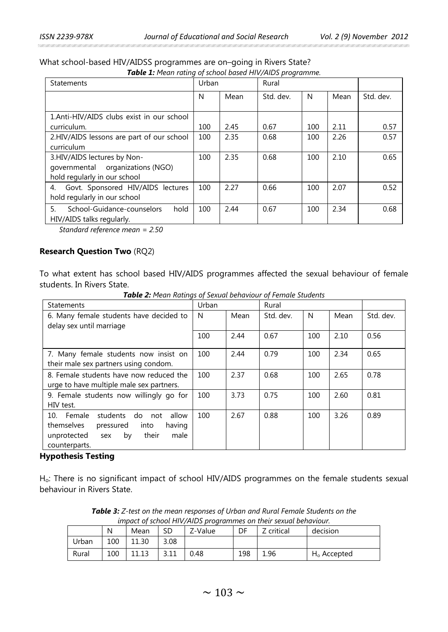an can can can can can can can

| Table 1: Mean rating of school based HIV/AIDS programme. |       |      |           |     |      |           |  |  |
|----------------------------------------------------------|-------|------|-----------|-----|------|-----------|--|--|
| <b>Statements</b>                                        | Urban |      | Rural     |     |      |           |  |  |
|                                                          | N     | Mean | Std. dev. | N   | Mean | Std. dev. |  |  |
| 1.Anti-HIV/AIDS clubs exist in our school<br>curriculum. | 100   | 2.45 | 0.67      | 100 | 2.11 | 0.57      |  |  |
| 2.HIV/AIDS lessons are part of our school<br>curriculum  | 100   | 2.35 | 0.68      | 100 | 2.26 | 0.57      |  |  |
| 3.HIV/AIDS lectures by Non-                              | 100   | 2.35 | 0.68      | 100 | 2.10 | 0.65      |  |  |

What school-based HIV/AIDSS programmes are on–going in Rivers State?

*Standard reference mean = 2.50*

governmental organizations (NGO)

4. Govt. Sponsored HIV/AIDS lectures

5. School-Guidance-counselors hold

## **Research Question Two** (RQ2)

hold regularly in our school

hold regularly in our school

HIV/AIDS talks regularly.

To what extent has school based HIV/AIDS programmes affected the sexual behaviour of female students. In Rivers State.

100 2.27 0.66 100 2.07 0.52

100 2.44 0.67 100 2.34 0.68

| <b>Statements</b>                            | Urban |      | Rural     |     |      |           |
|----------------------------------------------|-------|------|-----------|-----|------|-----------|
| 6. Many female students have decided to      | N     | Mean | Std. dev. | N   | Mean | Std. dev. |
| delay sex until marriage                     |       |      |           |     |      |           |
|                                              | 100   | 2.44 | 0.67      | 100 | 2.10 | 0.56      |
| 7. Many female students now insist on        | 100   | 2.44 | 0.79      | 100 | 2.34 | 0.65      |
| their male sex partners using condom.        |       |      |           |     |      |           |
| 8. Female students have now reduced the      | 100   | 2.37 | 0.68      | 100 | 2.65 | 0.78      |
| urge to have multiple male sex partners.     |       |      |           |     |      |           |
| 9. Female students now willingly go for      | 100   | 3.73 | 0.75      | 100 | 2.60 | 0.81      |
| HIV test.                                    |       |      |           |     |      |           |
| 10. Female<br>students<br>do<br>allow<br>not | 100   | 2.67 | 0.88      | 100 | 3.26 | 0.89      |
| themselves<br>pressured<br>having<br>into    |       |      |           |     |      |           |
| their<br>male<br>unprotected<br>by<br>sex    |       |      |           |     |      |           |
| counterparts.                                |       |      |           |     |      |           |

*Table 2: Mean Ratings of Sexual behaviour of Female Students*

#### **Hypothesis Testing**

Ho: There is no significant impact of school HIV/AIDS programmes on the female students sexual behaviour in Rivers State.

|       | N   | Mean  | SD   | Z-Value | DF  | anpact of school in 17 aps programmes on their sexual behaviour.<br>Z critical | decision       |
|-------|-----|-------|------|---------|-----|--------------------------------------------------------------------------------|----------------|
| Urban | 100 | 11.30 | 3.08 |         |     |                                                                                |                |
| Rural | 100 | 11.13 |      | 0.48    | 198 | 1.96                                                                           | $H_0$ Accepted |

*Table 3: Z-test on the mean responses of Urban and Rural Female Students on the impact of school HIV/AIDS programmes on their sexual behaviour.*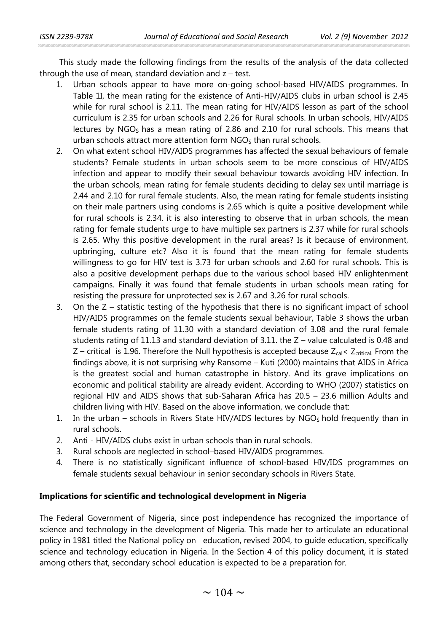This study made the following findings from the results of the analysis of the data collected through the use of mean, standard deviation and  $z$  – test.

- 1. Urban schools appear to have more on-going school-based HIV/AIDS programmes. In Table 1I, the mean rating for the existence of Anti-HIV/AIDS clubs in urban school is 2.45 while for rural school is 2.11. The mean rating for HIV/AIDS lesson as part of the school curriculum is 2.35 for urban schools and 2.26 for Rural schools. In urban schools, HIV/AIDS lectures by  $NGO<sub>S</sub>$  has a mean rating of 2.86 and 2.10 for rural schools. This means that urban schools attract more attention form  $NGO<sub>S</sub>$  than rural schools.
- 2. On what extent school HIV/AIDS programmes has affected the sexual behaviours of female students? Female students in urban schools seem to be more conscious of HIV/AIDS infection and appear to modify their sexual behaviour towards avoiding HIV infection. In the urban schools, mean rating for female students deciding to delay sex until marriage is 2.44 and 2.10 for rural female students. Also, the mean rating for female students insisting on their male partners using condoms is 2.65 which is quite a positive development while for rural schools is 2.34. it is also interesting to observe that in urban schools, the mean rating for female students urge to have multiple sex partners is 2.37 while for rural schools is 2.65. Why this positive development in the rural areas? Is it because of environment, upbringing, culture etc? Also it is found that the mean rating for female students willingness to go for HIV test is 3.73 for urban schools and 2.60 for rural schools. This is also a positive development perhaps due to the various school based HIV enlightenment campaigns. Finally it was found that female students in urban schools mean rating for resisting the pressure for unprotected sex is 2.67 and 3.26 for rural schools.
- 3. On the Z statistic testing of the hypothesis that there is no significant impact of school HIV/AIDS programmes on the female students sexual behaviour, Table 3 shows the urban female students rating of 11.30 with a standard deviation of 3.08 and the rural female students rating of 11.13 and standard deviation of 3.11. the Z – value calculated is 0.48 and  $Z$  – critical is 1.96. Therefore the Null hypothesis is accepted because  $Z_{cal}$  <  $Z_{\text{critical}}$ . From the findings above, it is not surprising why Ransome – Kuti (2000) maintains that AIDS in Africa is the greatest social and human catastrophe in history. And its grave implications on economic and political stability are already evident. According to WHO (2007) statistics on regional HIV and AIDS shows that sub-Saharan Africa has 20.5 – 23.6 million Adults and children living with HIV. Based on the above information, we conclude that:
- 1. In the urban schools in Rivers State HIV/AIDS lectures by  $NGO<sub>S</sub>$  hold frequently than in rural schools.
- 2. Anti HIV/AIDS clubs exist in urban schools than in rural schools.
- 3. Rural schools are neglected in school–based HIV/AIDS programmes.
- 4. There is no statistically significant influence of school-based HIV/IDS programmes on female students sexual behaviour in senior secondary schools in Rivers State.

## **Implications for scientific and technological development in Nigeria**

The Federal Government of Nigeria, since post independence has recognized the importance of science and technology in the development of Nigeria. This made her to articulate an educational policy in 1981 titled the National policy on education, revised 2004, to guide education, specifically science and technology education in Nigeria. In the Section 4 of this policy document, it is stated among others that, secondary school education is expected to be a preparation for.